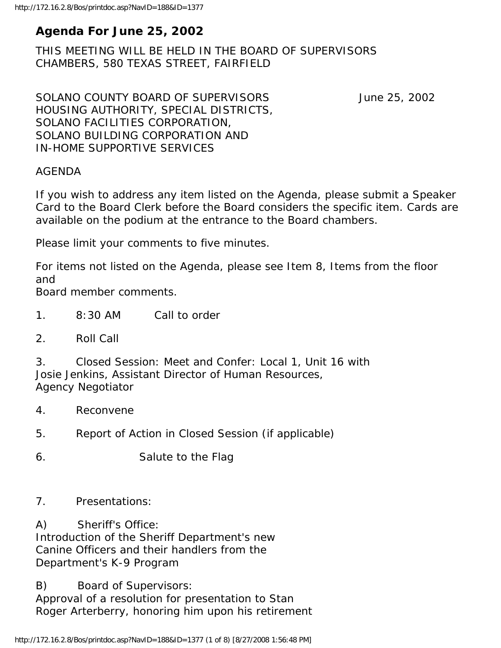# **Agenda For June 25, 2002**

THIS MEETING WILL BE HELD IN THE BOARD OF SUPERVISORS CHAMBERS, 580 TEXAS STREET, FAIRFIELD

SOLANO COUNTY BOARD OF SUPERVISORS June 25, 2002 HOUSING AUTHORITY, SPECIAL DISTRICTS, SOLANO FACILITIES CORPORATION, SOLANO BUILDING CORPORATION AND IN-HOME SUPPORTIVE SERVICES

#### AGENDA

If you wish to address any item listed on the Agenda, please submit a Speaker Card to the Board Clerk before the Board considers the specific item. Cards are available on the podium at the entrance to the Board chambers.

Please limit your comments to five minutes.

For items not listed on the Agenda, please see Item 8, Items from the floor and

Board member comments.

- 1. 8:30 AM Call to order
- 2. Roll Call

3. Closed Session: Meet and Confer: Local 1, Unit 16 with Josie Jenkins, Assistant Director of Human Resources, Agency Negotiator

- 4. Reconvene
- 5. Report of Action in Closed Session (if applicable)

6. Salute to the Flag

#### 7. Presentations:

A) Sheriff's Office:

Introduction of the Sheriff Department's new Canine Officers and their handlers from the Department's K-9 Program

B) Board of Supervisors: Approval of a resolution for presentation to Stan Roger Arterberry, honoring him upon his retirement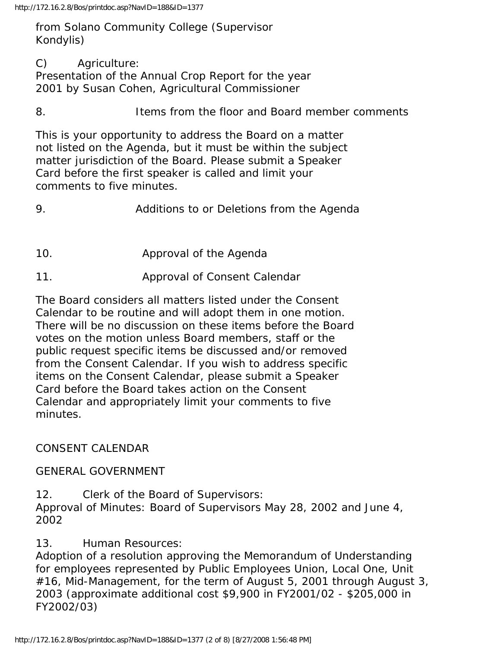http://172.16.2.8/Bos/printdoc.asp?NavID=188&ID=1377

from Solano Community College (Supervisor Kondylis)

C) Agriculture:

Presentation of the Annual Crop Report for the year 2001 by Susan Cohen, Agricultural Commissioner

8. Items from the floor and Board member comments

This is your opportunity to address the Board on a matter not listed on the Agenda, but it must be within the subject matter jurisdiction of the Board. Please submit a Speaker Card before the first speaker is called and limit your comments to five minutes.

9. Additions to or Deletions from the Agenda

- 10. Approval of the Agenda
- 11. Approval of Consent Calendar

The Board considers all matters listed under the Consent Calendar to be routine and will adopt them in one motion. There will be no discussion on these items before the Board votes on the motion unless Board members, staff or the public request specific items be discussed and/or removed from the Consent Calendar. If you wish to address specific items on the Consent Calendar, please submit a Speaker Card before the Board takes action on the Consent Calendar and appropriately limit your comments to five minutes.

CONSENT CALENDAR

GENERAL GOVERNMENT

12. Clerk of the Board of Supervisors: Approval of Minutes: Board of Supervisors May 28, 2002 and June 4, 2002

13. Human Resources:

Adoption of a resolution approving the Memorandum of Understanding for employees represented by Public Employees Union, Local One, Unit #16, Mid-Management, for the term of August 5, 2001 through August 3, 2003 (approximate additional cost \$9,900 in FY2001/02 - \$205,000 in FY2002/03)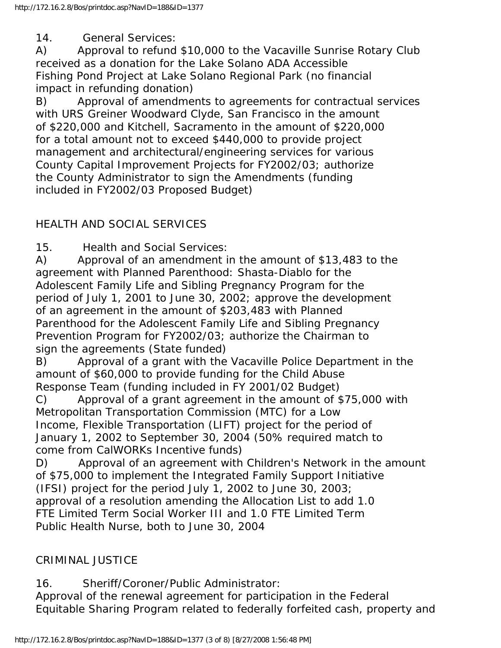14. General Services:

A) Approval to refund \$10,000 to the Vacaville Sunrise Rotary Club received as a donation for the Lake Solano ADA Accessible Fishing Pond Project at Lake Solano Regional Park (no financial impact in refunding donation)

B) Approval of amendments to agreements for contractual services with URS Greiner Woodward Clyde, San Francisco in the amount of \$220,000 and Kitchell, Sacramento in the amount of \$220,000 for a total amount not to exceed \$440,000 to provide project management and architectural/engineering services for various County Capital Improvement Projects for FY2002/03; authorize the County Administrator to sign the Amendments (funding included in FY2002/03 Proposed Budget)

## HEALTH AND SOCIAL SERVICES

15. Health and Social Services:

A) Approval of an amendment in the amount of \$13,483 to the agreement with Planned Parenthood: Shasta-Diablo for the Adolescent Family Life and Sibling Pregnancy Program for the period of July 1, 2001 to June 30, 2002; approve the development of an agreement in the amount of \$203,483 with Planned Parenthood for the Adolescent Family Life and Sibling Pregnancy Prevention Program for FY2002/03; authorize the Chairman to sign the agreements (State funded)

B) Approval of a grant with the Vacaville Police Department in the amount of \$60,000 to provide funding for the Child Abuse Response Team (funding included in FY 2001/02 Budget)

C) Approval of a grant agreement in the amount of \$75,000 with Metropolitan Transportation Commission (MTC) for a Low Income, Flexible Transportation (LIFT) project for the period of January 1, 2002 to September 30, 2004 (50% required match to come from CalWORKs Incentive funds)

D) Approval of an agreement with Children's Network in the amount of \$75,000 to implement the Integrated Family Support Initiative (IFSI) project for the period July 1, 2002 to June 30, 2003; approval of a resolution amending the Allocation List to add 1.0 FTE Limited Term Social Worker III and 1.0 FTE Limited Term Public Health Nurse, both to June 30, 2004

## CRIMINAL JUSTICE

16. Sheriff/Coroner/Public Administrator:

Approval of the renewal agreement for participation in the Federal Equitable Sharing Program related to federally forfeited cash, property and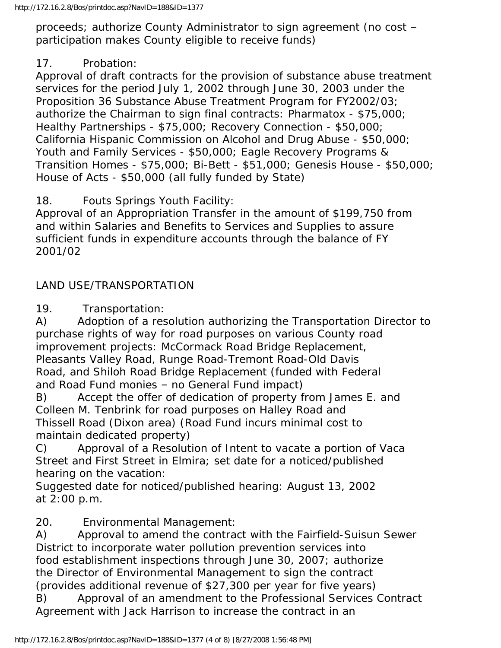proceeds; authorize County Administrator to sign agreement (no cost – participation makes County eligible to receive funds)

## 17. Probation:

Approval of draft contracts for the provision of substance abuse treatment services for the period July 1, 2002 through June 30, 2003 under the Proposition 36 Substance Abuse Treatment Program for FY2002/03; authorize the Chairman to sign final contracts: Pharmatox - \$75,000; Healthy Partnerships - \$75,000; Recovery Connection - \$50,000; California Hispanic Commission on Alcohol and Drug Abuse - \$50,000; Youth and Family Services - \$50,000; Eagle Recovery Programs & Transition Homes - \$75,000; Bi-Bett - \$51,000; Genesis House - \$50,000; House of Acts - \$50,000 (all fully funded by State)

18. Fouts Springs Youth Facility:

Approval of an Appropriation Transfer in the amount of \$199,750 from and within Salaries and Benefits to Services and Supplies to assure sufficient funds in expenditure accounts through the balance of FY 2001/02

## LAND USE/TRANSPORTATION

19. Transportation:

A) Adoption of a resolution authorizing the Transportation Director to purchase rights of way for road purposes on various County road improvement projects: McCormack Road Bridge Replacement, Pleasants Valley Road, Runge Road-Tremont Road-Old Davis Road, and Shiloh Road Bridge Replacement (funded with Federal and Road Fund monies – no General Fund impact)

B) Accept the offer of dedication of property from James E. and Colleen M. Tenbrink for road purposes on Halley Road and Thissell Road (Dixon area) (Road Fund incurs minimal cost to maintain dedicated property)

C) Approval of a Resolution of Intent to vacate a portion of Vaca Street and First Street in Elmira; set date for a noticed/published hearing on the vacation:

Suggested date for noticed/published hearing: August 13, 2002 at 2:00 p.m.

20. Environmental Management:

A) Approval to amend the contract with the Fairfield-Suisun Sewer District to incorporate water pollution prevention services into food establishment inspections through June 30, 2007; authorize the Director of Environmental Management to sign the contract (provides additional revenue of \$27,300 per year for five years)

B) Approval of an amendment to the Professional Services Contract Agreement with Jack Harrison to increase the contract in an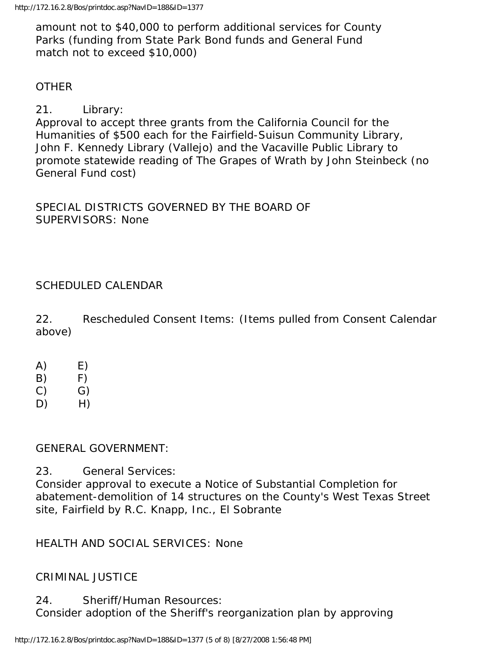amount not to \$40,000 to perform additional services for County Parks (funding from State Park Bond funds and General Fund match not to exceed \$10,000)

#### **OTHER**

## 21. Library:

Approval to accept three grants from the California Council for the Humanities of \$500 each for the Fairfield-Suisun Community Library, John F. Kennedy Library (Vallejo) and the Vacaville Public Library to promote statewide reading of The Grapes of Wrath by John Steinbeck (no General Fund cost)

SPECIAL DISTRICTS GOVERNED BY THE BOARD OF SUPERVISORS: None

## SCHEDULED CALENDAR

22. Rescheduled Consent Items: (Items pulled from Consent Calendar above)

- $(A)$   $E)$
- $(B)$  F)
- $(C)$   $G)$
- D) H)

#### GENERAL GOVERNMENT:

23. General Services:

Consider approval to execute a Notice of Substantial Completion for abatement-demolition of 14 structures on the County's West Texas Street site, Fairfield by R.C. Knapp, Inc., El Sobrante

## HEALTH AND SOCIAL SERVICES: None

#### CRIMINAL JUSTICE

24. Sheriff/Human Resources: Consider adoption of the Sheriff's reorganization plan by approving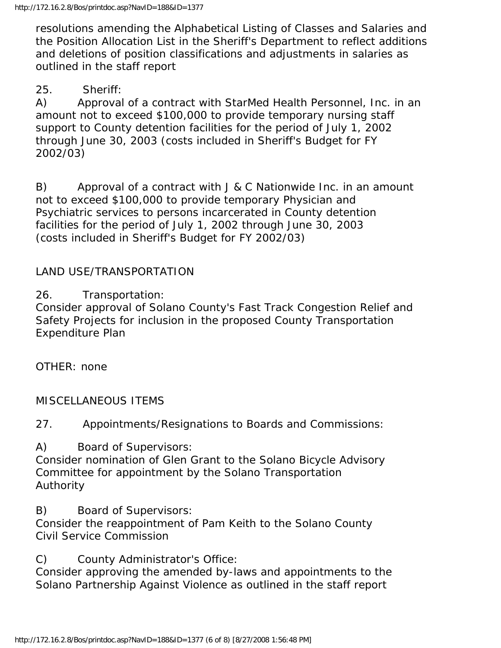resolutions amending the Alphabetical Listing of Classes and Salaries and the Position Allocation List in the Sheriff's Department to reflect additions and deletions of position classifications and adjustments in salaries as outlined in the staff report

25. Sheriff:

A) Approval of a contract with StarMed Health Personnel, Inc. in an amount not to exceed \$100,000 to provide temporary nursing staff support to County detention facilities for the period of July 1, 2002 through June 30, 2003 (costs included in Sheriff's Budget for FY 2002/03)

B) Approval of a contract with J & C Nationwide Inc. in an amount not to exceed \$100,000 to provide temporary Physician and Psychiatric services to persons incarcerated in County detention facilities for the period of July 1, 2002 through June 30, 2003 (costs included in Sheriff's Budget for FY 2002/03)

## LAND USE/TRANSPORTATION

26. Transportation:

Consider approval of Solano County's Fast Track Congestion Relief and Safety Projects for inclusion in the proposed County Transportation Expenditure Plan

OTHER: none

MISCELLANEOUS ITEMS

27. Appointments/Resignations to Boards and Commissions:

A) Board of Supervisors:

Consider nomination of Glen Grant to the Solano Bicycle Advisory Committee for appointment by the Solano Transportation Authority

B) Board of Supervisors:

Consider the reappointment of Pam Keith to the Solano County Civil Service Commission

C) County Administrator's Office:

Consider approving the amended by-laws and appointments to the Solano Partnership Against Violence as outlined in the staff report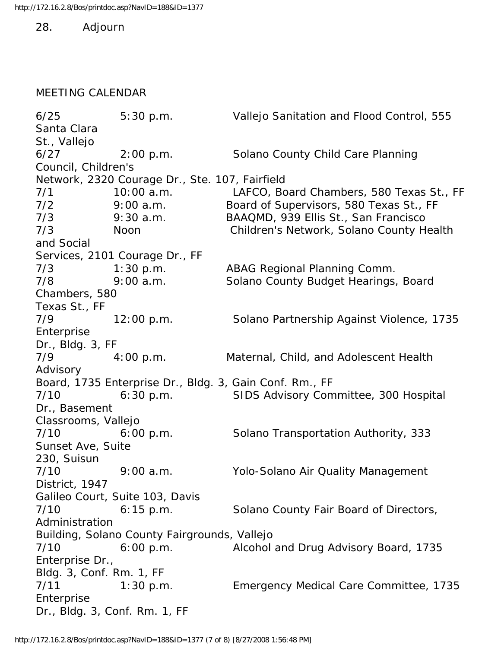28. Adjourn

#### MEETING CALENDAR

6/25 5:30 p.m. Vallejo Sanitation and Flood Control, 555 Santa Clara St., Vallejo 6/27 2:00 p.m. Solano County Child Care Planning Council, Children's Network, 2320 Courage Dr., Ste. 107, Fairfield 7/1 10:00 a.m. LAFCO, Board Chambers, 580 Texas St., FF 7/2 9:00 a.m. Board of Supervisors, 580 Texas St., FF 7/3 9:30 a.m. BAAQMD, 939 Ellis St., San Francisco 7/3 Noon Children's Network, Solano County Health and Social Services, 2101 Courage Dr., FF 7/3 1:30 p.m. ABAG Regional Planning Comm. 7/8 9:00 a.m. Solano County Budget Hearings, Board Chambers, 580 Texas St., FF 7/9 12:00 p.m. Solano Partnership Against Violence, 1735 Enterprise Dr., Bldg. 3, FF 7/9 4:00 p.m. Maternal, Child, and Adolescent Health Advisory Board, 1735 Enterprise Dr., Bldg. 3, Gain Conf. Rm., FF 7/10 6:30 p.m. SIDS Advisory Committee, 300 Hospital Dr., Basement Classrooms, Vallejo 7/10 6:00 p.m. Solano Transportation Authority, 333 Sunset Ave, Suite 230, Suisun 7/10 9:00 a.m. Yolo-Solano Air Quality Management District, 1947 Galileo Court, Suite 103, Davis 7/10 6:15 p.m. Solano County Fair Board of Directors, Administration Building, Solano County Fairgrounds, Vallejo 7/10 6:00 p.m. Alcohol and Drug Advisory Board, 1735 Enterprise Dr., Bldg. 3, Conf. Rm. 1, FF 7/11 1:30 p.m. Emergency Medical Care Committee, 1735 Enterprise Dr., Bldg. 3, Conf. Rm. 1, FF